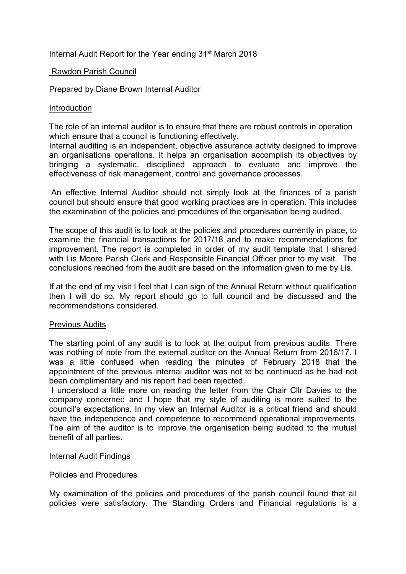# Internal Audit Report for the Year ending 31<sup>st</sup> March 2018

## Rawdon Parish Council

Prepared by Diane Brown Internal Auditor

#### Introduction

The role of an internal auditor is to ensure that there are robust controls in operation which ensure that a council is functioning effectively.

Internal auditing is an independent, objective assurance activity designed to improve an organisations operations. It helps an organisation accomplish its objectives by bringing a systematic, disciplined approach to evaluate and improve the effectiveness of risk management, control and governance processes.

 An effective Internal Auditor should not simply look at the finances of a parish council but should ensure that good working practices are in operation. This includes the examination of the policies and procedures of the organisation being audited.

The scope of this audit is to look at the policies and procedures currently in place, to examine the financial transactions for 2017/18 and to make recommendations for improvement. The report is completed in order of my audit template that I shared with Lis Moore Parish Clerk and Responsible Financial Officer prior to my visit. The conclusions reached from the audit are based on the information given to me by Lis.

If at the end of my visit I feel that I can sign of the Annual Return without qualification then I will do so. My report should go to full council and be discussed and the recommendations considered.

#### Previous Audits

The starting point of any audit is to look at the output from previous audits. There was nothing of note from the external auditor on the Annual Return from 2016/17. I was a little confused when reading the minutes of February 2018 that the appointment of the previous internal auditor was not to be continued as he had not been complimentary and his report had been rejected.

 I understood a little more on reading the letter from the Chair Cllr Davies to the company concerned and I hope that my style of auditing is more suited to the council's expectations. In my view an Internal Auditor is a critical friend and should have the independence and competence to recommend operational improvements. The aim of the auditor is to improve the organisation being audited to the mutual benefit of all parties.

#### Internal Audit Findings

#### Policies and Procedures

My examination of the policies and procedures of the parish council found that all policies were satisfactory. The Standing Orders and Financial regulations is a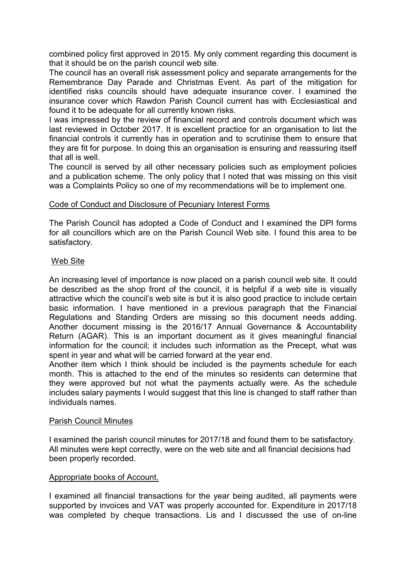combined policy first approved in 2015. My only comment regarding this document is that it should be on the parish council web site.

The council has an overall risk assessment policy and separate arrangements for the Remembrance Day Parade and Christmas Event. As part of the mitigation for identified risks councils should have adequate insurance cover. I examined the insurance cover which Rawdon Parish Council current has with Ecclesiastical and found it to be adequate for all currently known risks.

I was impressed by the review of financial record and controls document which was last reviewed in October 2017. It is excellent practice for an organisation to list the financial controls it currently has in operation and to scrutinise them to ensure that they are fit for purpose. In doing this an organisation is ensuring and reassuring itself that all is well.

The council is served by all other necessary policies such as employment policies and a publication scheme. The only policy that I noted that was missing on this visit was a Complaints Policy so one of my recommendations will be to implement one.

## Code of Conduct and Disclosure of Pecuniary Interest Forms

The Parish Council has adopted a Code of Conduct and I examined the DPI forms for all councillors which are on the Parish Council Web site. I found this area to be satisfactory.

## Web Site

An increasing level of importance is now placed on a parish council web site. It could be described as the shop front of the council, it is helpful if a web site is visually attractive which the council's web site is but it is also good practice to include certain basic information. I have mentioned in a previous paragraph that the Financial Regulations and Standing Orders are missing so this document needs adding. Another document missing is the 2016/17 Annual Governance & Accountability Return (AGAR). This is an important document as it gives meaningful financial information for the council; it includes such information as the Precept, what was spent in year and what will be carried forward at the year end.

Another item which I think should be included is the payments schedule for each month. This is attached to the end of the minutes so residents can determine that they were approved but not what the payments actually were. As the schedule includes salary payments I would suggest that this line is changed to staff rather than individuals names.

#### Parish Council Minutes

I examined the parish council minutes for 2017/18 and found them to be satisfactory. All minutes were kept correctly, were on the web site and all financial decisions had been properly recorded.

## Appropriate books of Account.

I examined all financial transactions for the year being audited, all payments were supported by invoices and VAT was properly accounted for. Expenditure in 2017/18 was completed by cheque transactions. Lis and I discussed the use of on-line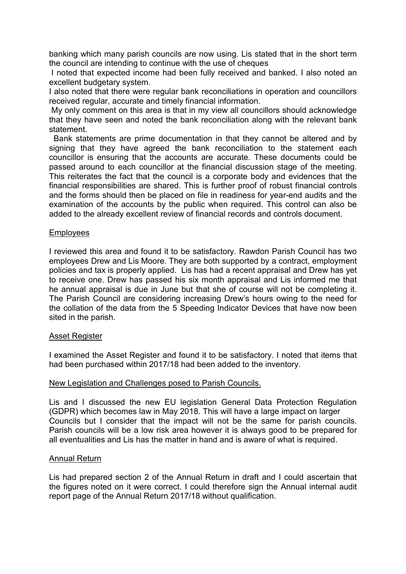banking which many parish councils are now using. Lis stated that in the short term the council are intending to continue with the use of cheques

 I noted that expected income had been fully received and banked. I also noted an excellent budgetary system.

I also noted that there were regular bank reconciliations in operation and councillors received regular, accurate and timely financial information.

 My only comment on this area is that in my view all councillors should acknowledge that they have seen and noted the bank reconciliation along with the relevant bank statement.

 Bank statements are prime documentation in that they cannot be altered and by signing that they have agreed the bank reconciliation to the statement each councillor is ensuring that the accounts are accurate. These documents could be passed around to each councillor at the financial discussion stage of the meeting. This reiterates the fact that the council is a corporate body and evidences that the financial responsibilities are shared. This is further proof of robust financial controls and the forms should then be placed on file in readiness for year-end audits and the examination of the accounts by the public when required. This control can also be added to the already excellent review of financial records and controls document.

## Employees

I reviewed this area and found it to be satisfactory. Rawdon Parish Council has two employees Drew and Lis Moore. They are both supported by a contract, employment policies and tax is properly applied. Lis has had a recent appraisal and Drew has yet to receive one. Drew has passed his six month appraisal and Lis informed me that he annual appraisal is due in June but that she of course will not be completing it. The Parish Council are considering increasing Drew's hours owing to the need for the collation of the data from the 5 Speeding Indicator Devices that have now been sited in the parish.

#### Asset Register

I examined the Asset Register and found it to be satisfactory. I noted that items that had been purchased within 2017/18 had been added to the inventory.

#### New Legislation and Challenges posed to Parish Councils.

Lis and I discussed the new EU legislation General Data Protection Regulation (GDPR) which becomes law in May 2018. This will have a large impact on larger Councils but I consider that the impact will not be the same for parish councils. Parish councils will be a low risk area however it is always good to be prepared for all eventualities and Lis has the matter in hand and is aware of what is required.

#### Annual Return

Lis had prepared section 2 of the Annual Return in draft and I could ascertain that the figures noted on it were correct. I could therefore sign the Annual internal audit report page of the Annual Return 2017/18 without qualification.